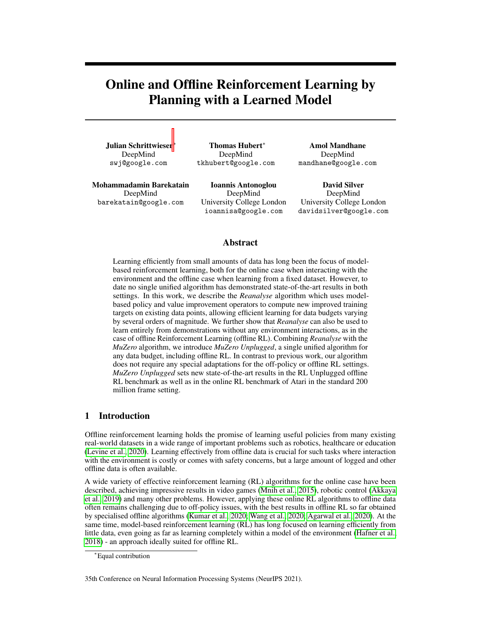# Online and Offline Reinforcement Learning by Planning with a Learned Model

Julian Schrittwieser<sup>∗</sup> DeepMind swj@google.com

Thomas Hubert<sup>∗</sup> DeepMind tkhubert@google.com

Amol Mandhane DeepMind mandhane@google.com

Mohammadamin Barekatain DeepMind barekatain@google.com

Ioannis Antonoglou DeepMind University College London ioannisa@google.com

David Silver DeepMind University College London davidsilver@google.com

## Abstract

Learning efficiently from small amounts of data has long been the focus of modelbased reinforcement learning, both for the online case when interacting with the environment and the offline case when learning from a fixed dataset. However, to date no single unified algorithm has demonstrated state-of-the-art results in both settings. In this work, we describe the *Reanalyse* algorithm which uses modelbased policy and value improvement operators to compute new improved training targets on existing data points, allowing efficient learning for data budgets varying by several orders of magnitude. We further show that *Reanalyse* can also be used to learn entirely from demonstrations without any environment interactions, as in the case of offline Reinforcement Learning (offline RL). Combining *Reanalyse* with the *MuZero* algorithm, we introduce *MuZero Unplugged*, a single unified algorithm for any data budget, including offline RL. In contrast to previous work, our algorithm does not require any special adaptations for the off-policy or offline RL settings. *MuZero Unplugged* sets new state-of-the-art results in the RL Unplugged offline RL benchmark as well as in the online RL benchmark of Atari in the standard 200 million frame setting.

## 1 Introduction

Offline reinforcement learning holds the promise of learning useful policies from many existing real-world datasets in a wide range of important problems such as robotics, healthcare or education [\(Levine et al., 2020\)](#page-10-0). Learning effectively from offline data is crucial for such tasks where interaction with the environment is costly or comes with safety concerns, but a large amount of logged and other offline data is often available.

A wide variety of effective reinforcement learning (RL) algorithms for the online case have been described, achieving impressive results in video games [\(Mnih et al., 2015\)](#page-10-1), robotic control [\(Akkaya](#page-9-0) [et al., 2019\)](#page-9-0) and many other problems. However, applying these online RL algorithms to offline data often remains challenging due to off-policy issues, with the best results in offline RL so far obtained by specialised offline algorithms [\(Kumar et al., 2020;](#page-10-2) [Wang et al., 2020;](#page-11-0) [Agarwal et al., 2020\)](#page-9-1). At the same time, model-based reinforcement learning (RL) has long focused on learning efficiently from little data, even going as far as learning completely within a model of the environment [\(Hafner et al.,](#page-9-2) [2018\)](#page-9-2) - an approach ideally suited for offline RL.

<sup>∗</sup>Equal contribution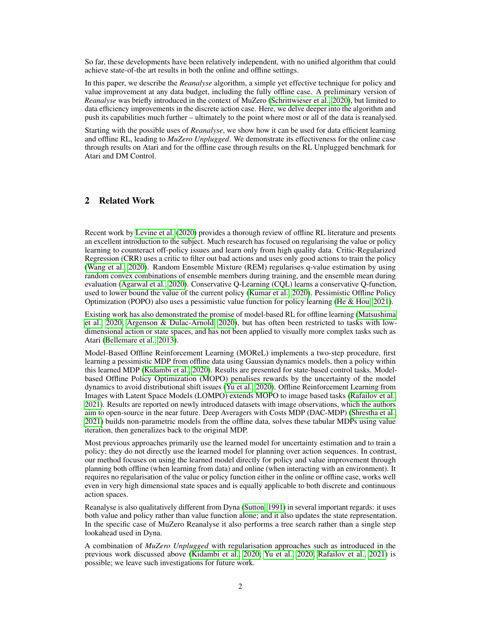So far, these developments have been relatively independent, with no unified algorithm that could achieve state-of-the art results in both the online and offline settings.

In this paper, we describe the *Reanalyse* algorithm, a simple yet effective technique for policy and value improvement at any data budget, including the fully offline case. A preliminary version of *Reanalyse* was briefly introduced in the context of MuZero [\(Schrittwieser et al., 2020\)](#page-10-3), but limited to data efficiency improvements in the discrete action case. Here, we delve deeper into the algorithm and push its capabilities much further – ultimately to the point where most or all of the data is reanalysed.

Starting with the possible uses of *Reanalyse*, we show how it can be used for data efficient learning and offline RL, leading to *MuZero Unplugged*. We demonstrate its effectiveness for the online case through results on Atari and for the offline case through results on the RL Unplugged benchmark for Atari and DM Control.

#### 2 Related Work

Recent work by [Levine et al.](#page-10-0) [\(2020\)](#page-10-0) provides a thorough review of offline RL literature and presents an excellent introduction to the subject. Much research has focused on regularising the value or policy learning to counteract off-policy issues and learn only from high quality data. Critic-Regularized Regression (CRR) uses a critic to filter out bad actions and uses only good actions to train the policy [\(Wang et al., 2020\)](#page-11-0). Random Ensemble Mixture (REM) regularises q-value estimation by using random convex combinations of ensemble members during training, and the ensemble mean during evaluation [\(Agarwal et al., 2020\)](#page-9-1). Conservative Q-Learning (CQL) learns a conservative Q-function, used to lower bound the value of the current policy [\(Kumar et al., 2020\)](#page-10-2). Pessimistic Offline Policy Optimization (POPO) also uses a pessimistic value function for policy learning [\(He & Hou, 2021\)](#page-9-3).

Existing work has also demonstrated the promise of model-based RL for offline learning [\(Matsushima](#page-10-4) [et al., 2020;](#page-10-4) [Argenson & Dulac-Arnold, 2020\)](#page-9-4), but has often been restricted to tasks with lowdimensional action or state spaces, and has not been applied to visually more complex tasks such as Atari [\(Bellemare et al., 2013\)](#page-9-5).

Model-Based Offline Reinforcement Learning (MOReL) implements a two-step procedure, first learning a pessimistic MDP from offline data using Gaussian dynamics models, then a policy within this learned MDP [\(Kidambi et al., 2020\)](#page-10-5). Results are presented for state-based control tasks. Modelbased Offline Policy Optimization (MOPO) penalises rewards by the uncertainty of the model dynamics to avoid distributional shift issues [\(Yu et al., 2020\)](#page-11-1). Offline Reinforcement Learning from Images with Latent Space Models (LOMPO) extends MOPO to image based tasks [\(Rafailov et al.,](#page-10-6) [2021\)](#page-10-6). Results are reported on newly introduced datasets with image observations, which the authors aim to open-source in the near future. Deep Averagers with Costs MDP (DAC-MDP) [\(Shrestha et al.,](#page-10-7) [2021\)](#page-10-7) builds non-parametric models from the offline data, solves these tabular MDPs using value iteration, then generalizes back to the original MDP.

Most previous approaches primarily use the learned model for uncertainty estimation and to train a policy; they do not directly use the learned model for planning over action sequences. In contrast, our method focuses on using the learned model directly for policy and value improvement through planning both offline (when learning from data) and online (when interacting with an environment). It requires no regularisation of the value or policy function either in the online or offline case, works well even in very high dimensional state spaces and is equally applicable to both discrete and continuous action spaces.

Reanalyse is also qualitatively different from Dyna [\(Sutton, 1991\)](#page-10-8) in several important regards: it uses both value and policy rather than value function alone; and it also updates the state representation. In the specific case of MuZero Reanalyse it also performs a tree search rather than a single step lookahead used in Dyna.

A combination of *MuZero Unplugged* with regularisation approaches such as introduced in the previous work discussed above [\(Kidambi et al., 2020;](#page-10-5) [Yu et al., 2020;](#page-11-1) [Rafailov et al., 2021\)](#page-10-6) is possible; we leave such investigations for future work.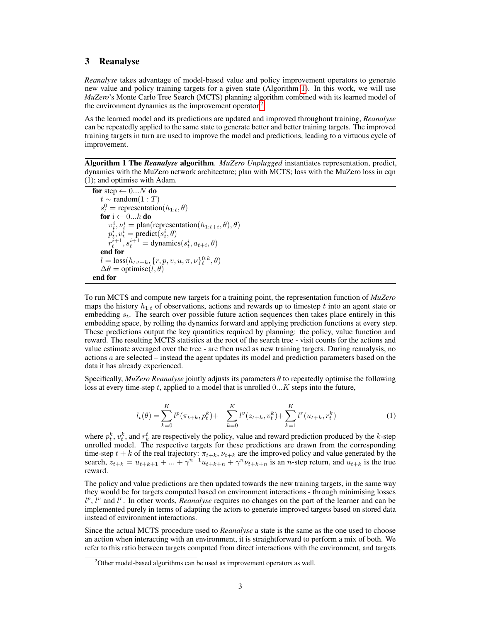## 3 Reanalyse

*Reanalyse* takes advantage of model-based value and policy improvement operators to generate new value and policy training targets for a given state (Algorithm [1\)](#page-2-0). In this work, we will use *MuZero*'s Monte Carlo Tree Search (MCTS) planning algorithm combined with its learned model of the environment dynamics as the improvement operator.<sup>[2](#page-2-1)</sup>

As the learned model and its predictions are updated and improved throughout training, *Reanalyse* can be repeatedly applied to the same state to generate better and better training targets. The improved training targets in turn are used to improve the model and predictions, leading to a virtuous cycle of improvement.

<span id="page-2-0"></span>Algorithm 1 The *Reanalyse* algorithm. *MuZero Unplugged* instantiates representation, predict, dynamics with the MuZero network architecture; plan with MCTS; loss with the MuZero loss in eqn (1); and optimise with Adam.

```
for step \leftarrow 0...N do
    t \sim \text{random}(1:T)s_t^0 = representation(h_{1:t},\theta)
   for i \leftarrow 0...k do
         \pi_t^i, \nu_t^i = \text{plan(representation}(h_{1:t+i}, \theta), \theta)n_t, v_t = pranciples<br>
p_t^i, v_t^i = predict(s_t^i, \theta)
         r_t^{i+1}, s_t^{i+1} = \text{dynamics}(s_t^i, a_{t+i}, \theta)end for
     l = \text{loss}(h_{t:t+k}, \{r, p, v, u, \pi, \nu\}_{t}^{0:k}, \theta)\Delta\theta = \text{optimise}(l, \theta)end for
```
To run MCTS and compute new targets for a training point, the representation function of *MuZero* maps the history  $h_{1:t}$  of observations, actions and rewards up to timestep t into an agent state or embedding  $s_t$ . The search over possible future action sequences then takes place entirely in this embedding space, by rolling the dynamics forward and applying prediction functions at every step. These predictions output the key quantities required by planning: the policy, value function and reward. The resulting MCTS statistics at the root of the search tree - visit counts for the actions and value estimate averaged over the tree - are then used as new training targets. During reanalysis, no actions  $a$  are selected – instead the agent updates its model and prediction parameters based on the data it has already experienced.

Specifically, *MuZero Reanalyse* jointly adjusts its parameters θ to repeatedly optimise the following loss at every time-step  $t$ , applied to a model that is unrolled  $0...K$  steps into the future,

$$
l_t(\theta) = \sum_{k=0}^{K} l^p(\pi_{t+k}, p_t^k) + \sum_{k=0}^{K} l^v(z_{t+k}, v_t^k) + \sum_{k=1}^{K} l^r(u_{t+k}, r_t^k)
$$
(1)

where  $p_t^k$ ,  $v_t^k$ , and  $r_k^t$  are respectively the policy, value and reward prediction produced by the k-step unrolled model. The respective targets for these predictions are drawn from the corresponding time-step  $t + k$  of the real trajectory:  $\pi_{t+k}, \nu_{t+k}$  are the improved policy and value generated by the search,  $z_{t+k} = u_{t+k+1} + ... + \gamma^{n-1} u_{t+k+n} + \gamma^n \nu_{t+k+n}$  is an n-step return, and  $u_{t+k}$  is the true reward.

The policy and value predictions are then updated towards the new training targets, in the same way they would be for targets computed based on environment interactions - through minimising losses  $l^p$ ,  $l^v$  and  $l^r$ . In other words, *Reanalyse* requires no changes on the part of the learner and can be implemented purely in terms of adapting the actors to generate improved targets based on stored data instead of environment interactions.

Since the actual MCTS procedure used to *Reanalyse* a state is the same as the one used to choose an action when interacting with an environment, it is straightforward to perform a mix of both. We refer to this ratio between targets computed from direct interactions with the environment, and targets

<span id="page-2-1"></span> $2$ Other model-based algorithms can be used as improvement operators as well.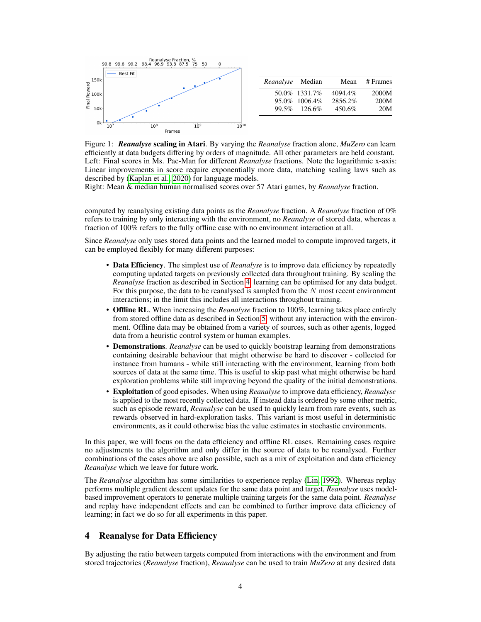

| <i>Reanalyse</i> Median |                                | Mean               | # Frames      |
|-------------------------|--------------------------------|--------------------|---------------|
|                         | 50.0% 1331.7%<br>95.0% 1006.4% | 4094.4%<br>2856.2% | 2000M<br>200M |
|                         | 99.5% 126.6%                   | 450.6%             | 20M           |

<span id="page-3-1"></span>Figure 1: *Reanalyse* scaling in Atari. By varying the *Reanalyse* fraction alone, *MuZero* can learn efficiently at data budgets differing by orders of magnitude. All other parameters are held constant. Left: Final scores in Ms. Pac-Man for different *Reanalyse* fractions. Note the logarithmic x-axis: Linear improvements in score require exponentially more data, matching scaling laws such as described by [\(Kaplan et al., 2020\)](#page-9-6) for language models.

Right: Mean & median human normalised scores over 57 Atari games, by *Reanalyse* fraction.

computed by reanalysing existing data points as the *Reanalyse* fraction. A *Reanalyse* fraction of 0% refers to training by only interacting with the environment, no *Reanalyse* of stored data, whereas a fraction of 100% refers to the fully offline case with no environment interaction at all.

Since *Reanalyse* only uses stored data points and the learned model to compute improved targets, it can be employed flexibly for many different purposes:

- Data Efficiency. The simplest use of *Reanalyse* is to improve data efficiency by repeatedly computing updated targets on previously collected data throughout training. By scaling the *Reanalyse* fraction as described in Section [4,](#page-3-0) learning can be optimised for any data budget. For this purpose, the data to be reanalysed is sampled from the  $N$  most recent environment interactions; in the limit this includes all interactions throughout training.
- Offline RL. When increasing the *Reanalyse* fraction to 100%, learning takes place entirely from stored offline data as described in Section [5,](#page-4-0) without any interaction with the environment. Offline data may be obtained from a variety of sources, such as other agents, logged data from a heuristic control system or human examples.
- Demonstrations. *Reanalyse* can be used to quickly bootstrap learning from demonstrations containing desirable behaviour that might otherwise be hard to discover - collected for instance from humans - while still interacting with the environment, learning from both sources of data at the same time. This is useful to skip past what might otherwise be hard exploration problems while still improving beyond the quality of the initial demonstrations.
- Exploitation of good episodes. When using *Reanalyse* to improve data efficiency, *Reanalyse* is applied to the most recently collected data. If instead data is ordered by some other metric, such as episode reward, *Reanalyse* can be used to quickly learn from rare events, such as rewards observed in hard-exploration tasks. This variant is most useful in deterministic environments, as it could otherwise bias the value estimates in stochastic environments.

In this paper, we will focus on the data efficiency and offline RL cases. Remaining cases require no adjustments to the algorithm and only differ in the source of data to be reanalysed. Further combinations of the cases above are also possible, such as a mix of exploitation and data efficiency *Reanalyse* which we leave for future work.

The *Reanalyse* algorithm has some similarities to experience replay [\(Lin, 1992\)](#page-10-9). Whereas replay performs multiple gradient descent updates for the same data point and target, *Reanalyse* uses modelbased improvement operators to generate multiple training targets for the same data point. *Reanalyse* and replay have independent effects and can be combined to further improve data efficiency of learning; in fact we do so for all experiments in this paper.

## <span id="page-3-0"></span>4 Reanalyse for Data Efficiency

By adjusting the ratio between targets computed from interactions with the environment and from stored trajectories (*Reanalyse* fraction), *Reanalyse* can be used to train *MuZero* at any desired data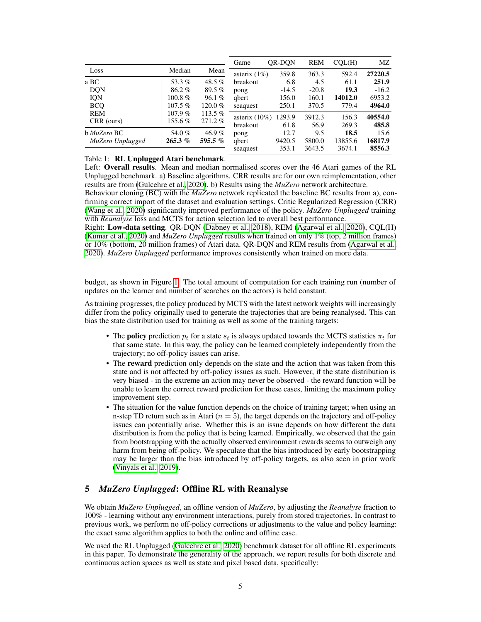|                          |                  |                     | Game                         | OR-DON         | <b>REM</b>     | COL(H)         | MZ               |
|--------------------------|------------------|---------------------|------------------------------|----------------|----------------|----------------|------------------|
| Loss                     | Median           | Mean                | asterix $(1%)$               | 359.8          | 363.3          | 592.4          | 27220.5          |
| a BC                     | 53.3%            | 48.5 $%$            | breakout                     | 6.8            | 4.5            | 61.1           | 251.9            |
| <b>DQN</b>               | 86.2%            | 89.5%               | pong                         | $-14.5$        | $-20.8$        | 19.3           | $-16.2$          |
| <b>IQN</b>               | $100.8 \%$       | 96.1%               | qbert                        | 156.0          | 160.1          | 14012.0        | 6953.2           |
| <b>BCO</b>               | $107.5\%$        | $120.0\%$           | seaguest                     | 250.1          | 370.5          | 779.4          | 4964.0           |
| <b>REM</b><br>CRR (ours) | 107.9%<br>155.6% | 113.5 $%$<br>271.2% | asterix $(10\%)$<br>breakout | 1293.9<br>61.8 | 3912.3<br>56.9 | 156.3<br>269.3 | 40554.0<br>485.8 |
| b MuZero BC              | 54.0%            | 46.9%               | pong                         | 12.7           | 9.5            | 18.5           | 15.6             |
| MuZero Unplugged         | 265.3%           | 595.5 %             | qbert                        | 9420.5         | 5800.0         | 13855.6        | 16817.9          |
|                          |                  |                     | seaguest                     | 353.1          | 3643.5         | 3674.1         | 8556.3           |

## <span id="page-4-1"></span>Table 1: RL Unplugged Atari benchmark.

Left: Overall results. Mean and median normalised scores over the 46 Atari games of the RL Unplugged benchmark. a) Baseline algorithms. CRR results are for our own reimplementation, other results are from [\(Gulcehre et al., 2020\)](#page-9-7). b) Results using the *MuZero* network architecture.

Behaviour cloning (BC) with the *MuZero* network replicated the baseline BC results from a), confirming correct import of the dataset and evaluation settings. Critic Regularized Regression (CRR) [\(Wang et al., 2020\)](#page-11-0) significantly improved performance of the policy. *MuZero Unplugged* training with *Reanalyse* loss and MCTS for action selection led to overall best performance.

Right: Low-data setting. QR-DQN [\(Dabney et al., 2018\)](#page-9-8), REM [\(Agarwal et al., 2020\)](#page-9-1), CQL(H) [\(Kumar et al., 2020\)](#page-10-2) and *MuZero Unplugged* results when trained on only 1% (top, 2 million frames) or 10% (bottom, 20 million frames) of Atari data. QR-DQN and REM results from [\(Agarwal et al.,](#page-9-1) [2020\)](#page-9-1). *MuZero Unplugged* performance improves consistently when trained on more data.

budget, as shown in Figure [1.](#page-3-1) The total amount of computation for each training run (number of updates on the learner and number of searches on the actors) is held constant.

As training progresses, the policy produced by MCTS with the latest network weights will increasingly differ from the policy originally used to generate the trajectories that are being reanalysed. This can bias the state distribution used for training as well as some of the training targets:

- The policy prediction  $p_t$  for a state  $s_t$  is always updated towards the MCTS statistics  $\pi_t$  for that same state. In this way, the policy can be learned completely independently from the trajectory; no off-policy issues can arise.
- The reward prediction only depends on the state and the action that was taken from this state and is not affected by off-policy issues as such. However, if the state distribution is very biased - in the extreme an action may never be observed - the reward function will be unable to learn the correct reward prediction for these cases, limiting the maximum policy improvement step.
- The situation for the **value** function depends on the choice of training target; when using an n-step TD return such as in Atari  $(n = 5)$ , the target depends on the trajectory and off-policy issues can potentially arise. Whether this is an issue depends on how different the data distribution is from the policy that is being learned. Empirically, we observed that the gain from bootstrapping with the actually observed environment rewards seems to outweigh any harm from being off-policy. We speculate that the bias introduced by early bootstrapping may be larger than the bias introduced by off-policy targets, as also seen in prior work [\(Vinyals et al., 2019\)](#page-11-2).

## <span id="page-4-0"></span>5 *MuZero Unplugged*: Offline RL with Reanalyse

We obtain *MuZero Unplugged*, an offline version of *MuZero*, by adjusting the *Reanalyse* fraction to 100% - learning without any environment interactions, purely from stored trajectories. In contrast to previous work, we perform no off-policy corrections or adjustments to the value and policy learning: the exact same algorithm applies to both the online and offline case.

We used the RL Unplugged [\(Gulcehre et al., 2020\)](#page-9-7) benchmark dataset for all offline RL experiments in this paper. To demonstrate the generality of the approach, we report results for both discrete and continuous action spaces as well as state and pixel based data, specifically: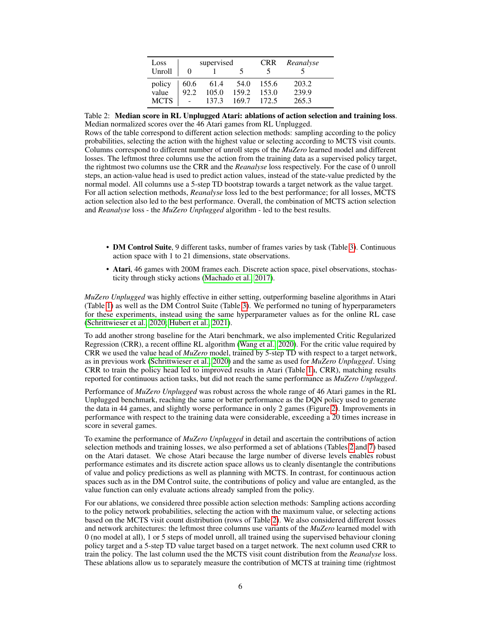| Loss        | supervised |       |       | <b>CRR</b> | Reanalyse |
|-------------|------------|-------|-------|------------|-----------|
| Unroll      |            |       |       |            |           |
| policy      | 60.6       | 61.4  | 54.0  | 155.6      | 203.2     |
| value       | 92.2       | 105.0 | 159.2 | 153.0      | 239.9     |
| <b>MCTS</b> |            | 137.3 | 169.7 | 172.5      | 265.3     |

<span id="page-5-0"></span>Table 2: Median score in RL Unplugged Atari: ablations of action selection and training loss. Median normalized scores over the 46 Atari games from RL Unplugged.

Rows of the table correspond to different action selection methods: sampling according to the policy probabilities, selecting the action with the highest value or selecting according to MCTS visit counts. Columns correspond to different number of unroll steps of the *MuZero* learned model and different losses. The leftmost three columns use the action from the training data as a supervised policy target, the rightmost two columns use the CRR and the *Reanalyse* loss respectively. For the case of 0 unroll steps, an action-value head is used to predict action values, instead of the state-value predicted by the normal model. All columns use a 5-step TD bootstrap towards a target network as the value target. For all action selection methods, *Reanalyse* loss led to the best performance; for all losses, MCTS action selection also led to the best performance. Overall, the combination of MCTS action selection and *Reanalyse* loss - the *MuZero Unplugged* algorithm - led to the best results.

- DM Control Suite, 9 different tasks, number of frames varies by task (Table [3\)](#page-6-0). Continuous action space with 1 to 21 dimensions, state observations.
- Atari, 46 games with 200M frames each. Discrete action space, pixel observations, stochasticity through sticky actions [\(Machado et al., 2017\)](#page-10-10).

*MuZero Unplugged* was highly effective in either setting, outperforming baseline algorithms in Atari (Table [1\)](#page-4-1) as well as the DM Control Suite (Table [3\)](#page-6-0). We performed no tuning of hyperparameters for these experiments, instead using the same hyperparameter values as for the online RL case [\(Schrittwieser et al., 2020;](#page-10-3) [Hubert et al., 2021\)](#page-9-9).

To add another strong baseline for the Atari benchmark, we also implemented Critic Regularized Regression (CRR), a recent offline RL algorithm [\(Wang et al., 2020\)](#page-11-0). For the critic value required by CRR we used the value head of *MuZero* model, trained by 5-step TD with respect to a target network, as in previous work [\(Schrittwieser et al., 2020\)](#page-10-3) and the same as used for *MuZero Unplugged*. Using CRR to train the policy head led to improved results in Atari (Table [1a](#page-4-1), CRR), matching results reported for continuous action tasks, but did not reach the same performance as *MuZero Unplugged*.

Performance of *MuZero Unplugged* was robust across the whole range of 46 Atari games in the RL Unplugged benchmark, reaching the same or better performance as the DQN policy used to generate the data in 44 games, and slightly worse performance in only 2 games (Figure [2\)](#page--1-0). Improvements in performance with respect to the training data were considerable, exceeding a 20 times increase in score in several games.

To examine the performance of *MuZero Unplugged* in detail and ascertain the contributions of action selection methods and training losses, we also performed a set of ablations (Tables [2](#page-5-0) and [7\)](#page--1-1) based on the Atari dataset. We chose Atari because the large number of diverse levels enables robust performance estimates and its discrete action space allows us to cleanly disentangle the contributions of value and policy predictions as well as planning with MCTS. In contrast, for continuous action spaces such as in the DM Control suite, the contributions of policy and value are entangled, as the value function can only evaluate actions already sampled from the policy.

For our ablations, we considered three possible action selection methods: Sampling actions according to the policy network probabilities, selecting the action with the maximum value, or selecting actions based on the MCTS visit count distribution (rows of Table [2\)](#page-5-0). We also considered different losses and network architectures: the leftmost three columns use variants of the *MuZero* learned model with 0 (no model at all), 1 or 5 steps of model unroll, all trained using the supervised behaviour cloning policy target and a 5-step TD value target based on a target network. The next column used CRR to train the policy. The last column used the the MCTS visit count distribution from the *Reanalyse* loss. These ablations allow us to separately measure the contribution of MCTS at training time (rightmost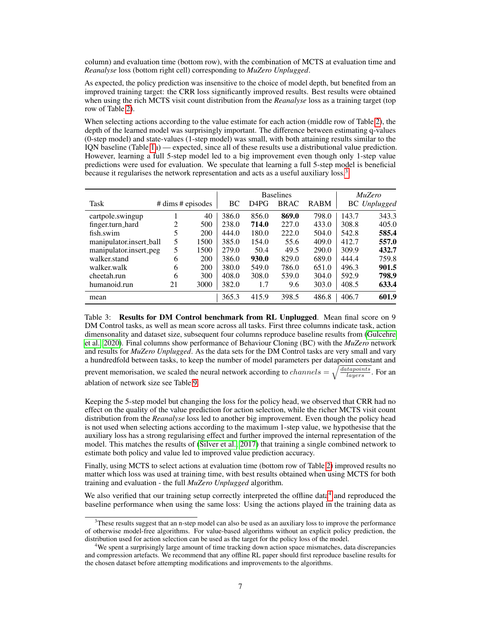column) and evaluation time (bottom row), with the combination of MCTS at evaluation time and *Reanalyse* loss (bottom right cell) corresponding to *MuZero Unplugged*.

As expected, the policy prediction was insensitive to the choice of model depth, but benefited from an improved training target: the CRR loss significantly improved results. Best results were obtained when using the rich MCTS visit count distribution from the *Reanalyse* loss as a training target (top row of Table [2\)](#page-5-0).

When selecting actions according to the value estimate for each action (middle row of Table [2\)](#page-5-0), the depth of the learned model was surprisingly important. The difference between estimating q-values (0-step model) and state-values (1-step model) was small, with both attaining results similar to the IQN baseline (Table [1a](#page-4-1)) — expected, since all of these results use a distributional value prediction. However, learning a full 5-step model led to a big improvement even though only 1-step value predictions were used for evaluation. We speculate that learning a full 5-step model is beneficial because it regularises the network representation and acts as a useful auxiliary loss.<sup>[3](#page-6-1)</sup>

|                         |    |                         | <b>Baselines</b> |                               |             | MuZero      |       |                     |
|-------------------------|----|-------------------------|------------------|-------------------------------|-------------|-------------|-------|---------------------|
| Task                    |    | $\#$ dims $\#$ episodes | BC               | D <sub>4</sub> P <sub>G</sub> | <b>BRAC</b> | <b>RABM</b> |       | <b>BC</b> Unplugged |
| cartpole.swingup        |    | 40                      | 386.0            | 856.0                         | 869.0       | 798.0       | 143.7 | 343.3               |
| finger.turn_hard        | 2  | 500                     | 238.0            | 714.0                         | 227.0       | 433.0       | 308.8 | 405.0               |
| fish.swim               | 5  | <b>200</b>              | 444.0            | 180.0                         | 222.0       | 504.0       | 542.8 | 585.4               |
| manipulator.insert_ball | 5  | 1500                    | 385.0            | 154.0                         | 55.6        | 409.0       | 412.7 | 557.0               |
| manipulator.insert_peg  | 5  | 1500                    | 279.0            | 50.4                          | 49.5        | 290.0       | 309.9 | 432.7               |
| walker.stand            | 6  | 200                     | 386.0            | 930.0                         | 829.0       | 689.0       | 444.4 | 759.8               |
| walker.walk             | 6  | 200                     | 380.0            | 549.0                         | 786.0       | 651.0       | 496.3 | 901.5               |
| cheetah.run             | 6  | 300                     | 408.0            | 308.0                         | 539.0       | 304.0       | 592.9 | 798.9               |
| humanoid.run            | 21 | 3000                    | 382.0            | 1.7                           | 9.6         | 303.0       | 408.5 | 633.4               |
| mean                    |    |                         | 365.3            | 415.9                         | 398.5       | 486.8       | 406.7 | 601.9               |

<span id="page-6-0"></span>Table 3: **Results for DM Control benchmark from RL Unplugged**. Mean final score on 9 DM Control tasks, as well as mean score across all tasks. First three columns indicate task, action dimensonality and dataset size, subsequent four columns reproduce baseline results from [\(Gulcehre](#page-9-7) [et al., 2020\)](#page-9-7). Final columns show performance of Behaviour Cloning (BC) with the *MuZero* network and results for *MuZero Unplugged*. As the data sets for the DM Control tasks are very small and vary a hundredfold between tasks, to keep the number of model parameters per datapoint constant and prevent memorisation, we scaled the neural network according to  $channels = \sqrt{\frac{datapoints}{layers}}$ . For an ablation of network size see Table [9.](#page--1-2)

Keeping the 5-step model but changing the loss for the policy head, we observed that CRR had no effect on the quality of the value prediction for action selection, while the richer MCTS visit count distribution from the *Reanalyse* loss led to another big improvement. Even though the policy head is not used when selecting actions according to the maximum 1-step value, we hypothesise that the auxiliary loss has a strong regularising effect and further improved the internal representation of the model. This matches the results of [\(Silver et al., 2017\)](#page-10-11) that training a single combined network to estimate both policy and value led to improved value prediction accuracy.

Finally, using MCTS to select actions at evaluation time (bottom row of Table [2\)](#page-5-0) improved results no matter which loss was used at training time, with best results obtained when using MCTS for both training and evaluation - the full *MuZero Unplugged* algorithm.

We also verified that our training setup correctly interpreted the offline data<sup>[4](#page-6-2)</sup> and reproduced the baseline performance when using the same loss: Using the actions played in the training data as

<span id="page-6-1"></span><sup>&</sup>lt;sup>3</sup>These results suggest that an n-step model can also be used as an auxiliary loss to improve the performance of otherwise model-free algorithms. For value-based algorithms without an explicit policy prediction, the distribution used for action selection can be used as the target for the policy loss of the model.

<span id="page-6-2"></span><sup>4</sup>We spent a surprisingly large amount of time tracking down action space mismatches, data discrepancies and compression artefacts. We recommend that any offline RL paper should first reproduce baseline results for the chosen dataset before attempting modifications and improvements to the algorithms.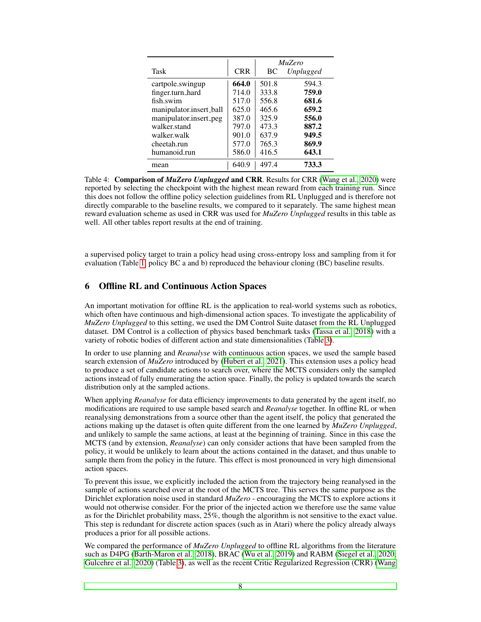|                         | <i>MuZero</i> |       |                  |  |  |
|-------------------------|---------------|-------|------------------|--|--|
| Task                    | <b>CRR</b>    | BC    | <i>Unplugged</i> |  |  |
| cartpole.swingup        | 664.0         | 501.8 | 594.3            |  |  |
| finger.turn_hard        | 714.0         | 333.8 | 759.0            |  |  |
| fish swim               | 517.0         | 556.8 | 681.6            |  |  |
| manipulator.insert_ball | 625.0         | 465.6 | 659.2            |  |  |
| manipulator.insert_peg  | 387.0         | 325.9 | 556.0            |  |  |
| walker stand            | 797.0         | 473.3 | 887.2            |  |  |
| walker.walk             | 901.0         | 637.9 | 949.5            |  |  |
| cheetah.run             | 577.0         | 765.3 | 869.9            |  |  |
| humanoid.run            | 586.0         | 416.5 | 643.1            |  |  |
| mean                    | 640.9         | 497.4 | 733.3            |  |  |

<span id="page-7-0"></span>Table 4: Comparison of *MuZero Unplugged* and CRR. Results for CRR [\(Wang et al., 2020\)](#page-11-0) were reported by selecting the checkpoint with the highest mean reward from each training run. Since this does not follow the offline policy selection guidelines from RL Unplugged and is therefore not directly comparable to the baseline results, we compared to it separately. The same highest mean reward evaluation scheme as used in CRR was used for *MuZero Unplugged* results in this table as well. All other tables report results at the end of training.

a supervised policy target to train a policy head using cross-entropy loss and sampling from it for evaluation (Table [1,](#page-4-1) policy BC a and b) reproduced the behaviour cloning (BC) baseline results.

### 6 Offline RL and Continuous Action Spaces

An important motivation for offline RL is the application to real-world systems such as robotics, which often have continuous and high-dimensional action spaces. To investigate the applicability of *MuZero Unplugged* to this setting, we used the DM Control Suite dataset from the RL Unplugged dataset. DM Control is a collection of physics based benchmark tasks [\(Tassa et al., 2018\)](#page-10-12) with a variety of robotic bodies of different action and state dimensionalities (Table [3\)](#page-6-0).

In order to use planning and *Reanalyse* with continuous action spaces, we used the sample based search extension of *MuZero* introduced by [\(Hubert et al., 2021\)](#page-9-9). This extension uses a policy head to produce a set of candidate actions to search over, where the MCTS considers only the sampled actions instead of fully enumerating the action space. Finally, the policy is updated towards the search distribution only at the sampled actions.

When applying *Reanalyse* for data efficiency improvements to data generated by the agent itself, no modifications are required to use sample based search and *Reanalyse* together. In offline RL or when reanalysing demonstrations from a source other than the agent itself, the policy that generated the actions making up the dataset is often quite different from the one learned by *MuZero Unplugged*, and unlikely to sample the same actions, at least at the beginning of training. Since in this case the MCTS (and by extension, *Reanalyse*) can only consider actions that have been sampled from the policy, it would be unlikely to learn about the actions contained in the dataset, and thus unable to sample them from the policy in the future. This effect is most pronounced in very high dimensional action spaces.

To prevent this issue, we explicitly included the action from the trajectory being reanalysed in the sample of actions searched over at the root of the MCTS tree. This serves the same purpose as the Dirichlet exploration noise used in standard *MuZero* - encouraging the MCTS to explore actions it would not otherwise consider. For the prior of the injected action we therefore use the same value as for the Dirichlet probability mass, 25%, though the algorithm is not sensitive to the exact value. This step is redundant for discrete action spaces (such as in Atari) where the policy already always produces a prior for all possible actions.

We compared the performance of *MuZero Unplugged* to offline RL algorithms from the literature such as D4PG [\(Barth-Maron et al., 2018\)](#page-9-10), BRAC [\(Wu et al., 2019\)](#page-11-3) and RABM [\(Siegel et al., 2020;](#page-10-13) [Gulcehre et al., 2020\)](#page-9-7) (Table [3\)](#page-6-0), as well as the recent Critic Regularized Regression (CRR) [\(Wang](#page-11-0)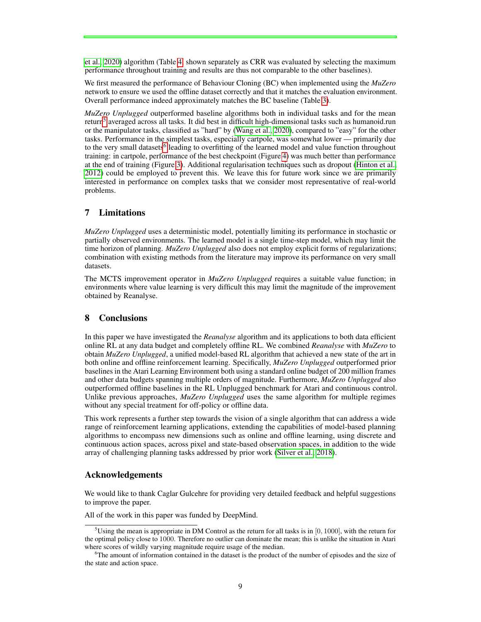[et al., 2020\)](#page-11-0) algorithm (Table [4,](#page-7-0) shown separately as CRR was evaluated by selecting the maximum performance throughout training and results are thus not comparable to the other baselines).

We first measured the performance of Behaviour Cloning (BC) when implemented using the *MuZero* network to ensure we used the offline dataset correctly and that it matches the evaluation environment. Overall performance indeed approximately matches the BC baseline (Table [3\)](#page-6-0).

*MuZero Unplugged* outperformed baseline algorithms both in individual tasks and for the mean return<sup>[5](#page-8-0)</sup> averaged across all tasks. It did best in difficult high-dimensional tasks such as humanoid.run or the manipulator tasks, classified as "hard" by [\(Wang et al., 2020\)](#page-11-0), compared to "easy" for the other tasks. Performance in the simplest tasks, especially cartpole, was somewhat lower — primarily due to the very small datasets<sup>[6](#page-8-1)</sup> leading to overfitting of the learned model and value function throughout training: in cartpole, performance of the best checkpoint (Figure [4\)](#page-7-0) was much better than performance at the end of training (Figure [3\)](#page-6-0). Additional regularisation techniques such as dropout [\(Hinton et al.,](#page-9-11) [2012\)](#page-9-11) could be employed to prevent this. We leave this for future work since we are primarily interested in performance on complex tasks that we consider most representative of real-world problems.

## 7 Limitations

*MuZero Unplugged* uses a deterministic model, potentially limiting its performance in stochastic or partially observed environments. The learned model is a single time-step model, which may limit the time horizon of planning. *MuZero Unplugged* also does not employ explicit forms of regularizations; combination with existing methods from the literature may improve its performance on very small datasets.

The MCTS improvement operator in *MuZero Unplugged* requires a suitable value function; in environments where value learning is very difficult this may limit the magnitude of the improvement obtained by Reanalyse.

## 8 Conclusions

In this paper we have investigated the *Reanalyse* algorithm and its applications to both data efficient online RL at any data budget and completely offline RL. We combined *Reanalyse* with *MuZero* to obtain *MuZero Unplugged*, a unified model-based RL algorithm that achieved a new state of the art in both online and offline reinforcement learning. Specifically, *MuZero Unplugged* outperformed prior baselines in the Atari Learning Environment both using a standard online budget of 200 million frames and other data budgets spanning multiple orders of magnitude. Furthermore, *MuZero Unplugged* also outperformed offline baselines in the RL Unplugged benchmark for Atari and continuous control. Unlike previous approaches, *MuZero Unplugged* uses the same algorithm for multiple regimes without any special treatment for off-policy or offline data.

This work represents a further step towards the vision of a single algorithm that can address a wide range of reinforcement learning applications, extending the capabilities of model-based planning algorithms to encompass new dimensions such as online and offline learning, using discrete and continuous action spaces, across pixel and state-based observation spaces, in addition to the wide array of challenging planning tasks addressed by prior work [\(Silver et al., 2018\)](#page-10-14).

#### Acknowledgements

We would like to thank Caglar Gulcehre for providing very detailed feedback and helpful suggestions to improve the paper.

All of the work in this paper was funded by DeepMind.

<span id="page-8-0"></span><sup>&</sup>lt;sup>5</sup>Using the mean is appropriate in DM Control as the return for all tasks is in [0, 1000], with the return for the optimal policy close to 1000. Therefore no outlier can dominate the mean; this is unlike the situation in Atari where scores of wildly varying magnitude require usage of the median.

<span id="page-8-1"></span><sup>&</sup>lt;sup>6</sup>The amount of information contained in the dataset is the product of the number of episodes and the size of the state and action space.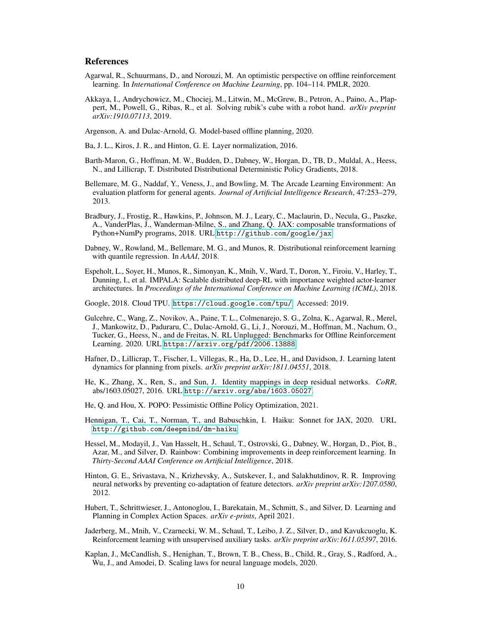#### References

- <span id="page-9-1"></span>Agarwal, R., Schuurmans, D., and Norouzi, M. An optimistic perspective on offline reinforcement learning. In *International Conference on Machine Learning*, pp. 104–114. PMLR, 2020.
- <span id="page-9-0"></span>Akkaya, I., Andrychowicz, M., Chociej, M., Litwin, M., McGrew, B., Petron, A., Paino, A., Plappert, M., Powell, G., Ribas, R., et al. Solving rubik's cube with a robot hand. *arXiv preprint arXiv:1910.07113*, 2019.

<span id="page-9-4"></span>Argenson, A. and Dulac-Arnold, G. Model-based offline planning, 2020.

Ba, J. L., Kiros, J. R., and Hinton, G. E. Layer normalization, 2016.

- <span id="page-9-10"></span>Barth-Maron, G., Hoffman, M. W., Budden, D., Dabney, W., Horgan, D., TB, D., Muldal, A., Heess, N., and Lillicrap, T. Distributed Distributional Deterministic Policy Gradients, 2018.
- <span id="page-9-5"></span>Bellemare, M. G., Naddaf, Y., Veness, J., and Bowling, M. The Arcade Learning Environment: An evaluation platform for general agents. *Journal of Artificial Intelligence Research*, 47:253–279, 2013.
- Bradbury, J., Frostig, R., Hawkins, P., Johnson, M. J., Leary, C., Maclaurin, D., Necula, G., Paszke, A., VanderPlas, J., Wanderman-Milne, S., and Zhang, Q. JAX: composable transformations of Python+NumPy programs, 2018. URL <http://github.com/google/jax>.
- <span id="page-9-8"></span>Dabney, W., Rowland, M., Bellemare, M. G., and Munos, R. Distributional reinforcement learning with quantile regression. In *AAAI*, 2018.
- Espeholt, L., Soyer, H., Munos, R., Simonyan, K., Mnih, V., Ward, T., Doron, Y., Firoiu, V., Harley, T., Dunning, I., et al. IMPALA: Scalable distributed deep-RL with importance weighted actor-learner architectures. In *Proceedings of the International Conference on Machine Learning (ICML)*, 2018.
- Google, 2018. Cloud TPU. <https://cloud.google.com/tpu/>. Accessed: 2019.
- <span id="page-9-7"></span>Gulcehre, C., Wang, Z., Novikov, A., Paine, T. L., Colmenarejo, S. G., Zolna, K., Agarwal, R., Merel, J., Mankowitz, D., Paduraru, C., Dulac-Arnold, G., Li, J., Norouzi, M., Hoffman, M., Nachum, O., Tucker, G., Heess, N., and de Freitas, N. RL Unplugged: Benchmarks for Offline Reinforcement Learning. 2020. URL <https://arxiv.org/pdf/2006.13888>.
- <span id="page-9-2"></span>Hafner, D., Lillicrap, T., Fischer, I., Villegas, R., Ha, D., Lee, H., and Davidson, J. Learning latent dynamics for planning from pixels. *arXiv preprint arXiv:1811.04551*, 2018.
- He, K., Zhang, X., Ren, S., and Sun, J. Identity mappings in deep residual networks. *CoRR*, abs/1603.05027, 2016. URL <http://arxiv.org/abs/1603.05027>.
- <span id="page-9-3"></span>He, Q. and Hou, X. POPO: Pessimistic Offline Policy Optimization, 2021.
- Hennigan, T., Cai, T., Norman, T., and Babuschkin, I. Haiku: Sonnet for JAX, 2020. URL <http://github.com/deepmind/dm-haiku>.
- Hessel, M., Modayil, J., Van Hasselt, H., Schaul, T., Ostrovski, G., Dabney, W., Horgan, D., Piot, B., Azar, M., and Silver, D. Rainbow: Combining improvements in deep reinforcement learning. In *Thirty-Second AAAI Conference on Artificial Intelligence*, 2018.
- <span id="page-9-11"></span>Hinton, G. E., Srivastava, N., Krizhevsky, A., Sutskever, I., and Salakhutdinov, R. R. Improving neural networks by preventing co-adaptation of feature detectors. *arXiv preprint arXiv:1207.0580*, 2012.
- <span id="page-9-9"></span>Hubert, T., Schrittwieser, J., Antonoglou, I., Barekatain, M., Schmitt, S., and Silver, D. Learning and Planning in Complex Action Spaces. *arXiv e-prints*, April 2021.
- Jaderberg, M., Mnih, V., Czarnecki, W. M., Schaul, T., Leibo, J. Z., Silver, D., and Kavukcuoglu, K. Reinforcement learning with unsupervised auxiliary tasks. *arXiv preprint arXiv:1611.05397*, 2016.
- <span id="page-9-6"></span>Kaplan, J., McCandlish, S., Henighan, T., Brown, T. B., Chess, B., Child, R., Gray, S., Radford, A., Wu, J., and Amodei, D. Scaling laws for neural language models, 2020.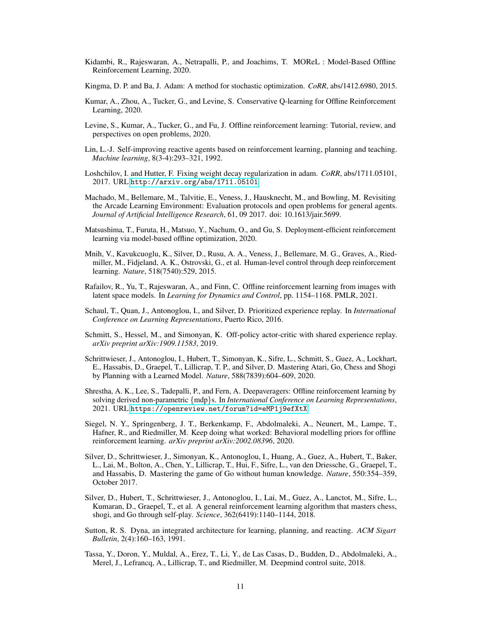- <span id="page-10-5"></span>Kidambi, R., Rajeswaran, A., Netrapalli, P., and Joachims, T. MOReL : Model-Based Offline Reinforcement Learning, 2020.
- Kingma, D. P. and Ba, J. Adam: A method for stochastic optimization. *CoRR*, abs/1412.6980, 2015.
- <span id="page-10-2"></span>Kumar, A., Zhou, A., Tucker, G., and Levine, S. Conservative Q-learning for Offline Reinforcement Learning, 2020.
- <span id="page-10-0"></span>Levine, S., Kumar, A., Tucker, G., and Fu, J. Offline reinforcement learning: Tutorial, review, and perspectives on open problems, 2020.
- <span id="page-10-9"></span>Lin, L.-J. Self-improving reactive agents based on reinforcement learning, planning and teaching. *Machine learning*, 8(3-4):293–321, 1992.
- Loshchilov, I. and Hutter, F. Fixing weight decay regularization in adam. *CoRR*, abs/1711.05101, 2017. URL <http://arxiv.org/abs/1711.05101>.
- <span id="page-10-10"></span>Machado, M., Bellemare, M., Talvitie, E., Veness, J., Hausknecht, M., and Bowling, M. Revisiting the Arcade Learning Environment: Evaluation protocols and open problems for general agents. *Journal of Artificial Intelligence Research*, 61, 09 2017. doi: 10.1613/jair.5699.
- <span id="page-10-4"></span>Matsushima, T., Furuta, H., Matsuo, Y., Nachum, O., and Gu, S. Deployment-efficient reinforcement learning via model-based offline optimization, 2020.
- <span id="page-10-1"></span>Mnih, V., Kavukcuoglu, K., Silver, D., Rusu, A. A., Veness, J., Bellemare, M. G., Graves, A., Riedmiller, M., Fidjeland, A. K., Ostrovski, G., et al. Human-level control through deep reinforcement learning. *Nature*, 518(7540):529, 2015.
- <span id="page-10-6"></span>Rafailov, R., Yu, T., Rajeswaran, A., and Finn, C. Offline reinforcement learning from images with latent space models. In *Learning for Dynamics and Control*, pp. 1154–1168. PMLR, 2021.
- Schaul, T., Quan, J., Antonoglou, I., and Silver, D. Prioritized experience replay. In *International Conference on Learning Representations*, Puerto Rico, 2016.
- Schmitt, S., Hessel, M., and Simonyan, K. Off-policy actor-critic with shared experience replay. *arXiv preprint arXiv:1909.11583*, 2019.
- <span id="page-10-3"></span>Schrittwieser, J., Antonoglou, I., Hubert, T., Simonyan, K., Sifre, L., Schmitt, S., Guez, A., Lockhart, E., Hassabis, D., Graepel, T., Lillicrap, T. P., and Silver, D. Mastering Atari, Go, Chess and Shogi by Planning with a Learned Model. *Nature*, 588(7839):604–609, 2020.
- <span id="page-10-7"></span>Shrestha, A. K., Lee, S., Tadepalli, P., and Fern, A. Deepaveragers: Offline reinforcement learning by solving derived non-parametric {mdp}s. In *International Conference on Learning Representations*, 2021. URL <https://openreview.net/forum?id=eMP1j9efXtX>.
- <span id="page-10-13"></span>Siegel, N. Y., Springenberg, J. T., Berkenkamp, F., Abdolmaleki, A., Neunert, M., Lampe, T., Hafner, R., and Riedmiller, M. Keep doing what worked: Behavioral modelling priors for offline reinforcement learning. *arXiv preprint arXiv:2002.08396*, 2020.
- <span id="page-10-11"></span>Silver, D., Schrittwieser, J., Simonyan, K., Antonoglou, I., Huang, A., Guez, A., Hubert, T., Baker, L., Lai, M., Bolton, A., Chen, Y., Lillicrap, T., Hui, F., Sifre, L., van den Driessche, G., Graepel, T., and Hassabis, D. Mastering the game of Go without human knowledge. *Nature*, 550:354–359, October 2017.
- <span id="page-10-14"></span>Silver, D., Hubert, T., Schrittwieser, J., Antonoglou, I., Lai, M., Guez, A., Lanctot, M., Sifre, L., Kumaran, D., Graepel, T., et al. A general reinforcement learning algorithm that masters chess, shogi, and Go through self-play. *Science*, 362(6419):1140–1144, 2018.
- <span id="page-10-8"></span>Sutton, R. S. Dyna, an integrated architecture for learning, planning, and reacting. *ACM Sigart Bulletin*, 2(4):160–163, 1991.
- <span id="page-10-12"></span>Tassa, Y., Doron, Y., Muldal, A., Erez, T., Li, Y., de Las Casas, D., Budden, D., Abdolmaleki, A., Merel, J., Lefrancq, A., Lillicrap, T., and Riedmiller, M. Deepmind control suite, 2018.